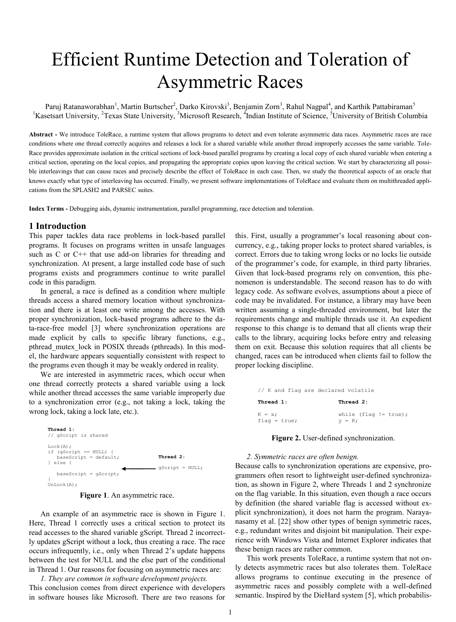# Efficient Runtime Detection and Toleration of Asymmetric Races

Paruj Ratanaworabhan<sup>1</sup>, Martin Burtscher<sup>2</sup>, Darko Kirovski<sup>3</sup>, Benjamin Zorn<sup>3</sup>, Rahul Nagpal<sup>4</sup>, and Karthik Pattabiraman<sup>5</sup> <sup>1</sup>Kasetsart University, <sup>2</sup>Texas State University, <sup>3</sup>Microsoft Research, <sup>4</sup>Indian Institute of Science, <sup>5</sup>University of British Columbia

**Abstract -** We introduce ToleRace, a runtime system that allows programs to detect and even tolerate asymmetric data races. Asymmetric races are race conditions where one thread correctly acquires and releases a lock for a shared variable while another thread improperly accesses the same variable. Tole-Race provides approximate isolation in the critical sections of lock-based parallel programs by creating a local copy of each shared variable when entering a critical section, operating on the local copies, and propagating the appropriate copies upon leaving the critical section. We start by characterizing all possible interleavings that can cause races and precisely describe the effect of ToleRace in each case. Then, we study the theoretical aspects of an oracle that knows exactly what type of interleaving has occurred. Finally, we present software implementations of ToleRace and evaluate them on multithreaded applications from the SPLASH2 and PARSEC suites.

**Index Terms -** Debugging aids, dynamic instrumentation, parallel programming, race detection and toleration.

# **1 Introduction**

This paper tackles data race problems in lock-based parallel programs. It focuses on programs written in unsafe languages such as C or C++ that use add-on libraries for threading and synchronization. At present, a large installed code base of such programs exists and programmers continue to write parallel code in this paradigm.

In general, a race is defined as a condition where multiple threads access a shared memory location without synchronization and there is at least one write among the accesses. With proper synchronization, lock-based programs adhere to the data-race-free model [3] where synchronization operations are made explicit by calls to specific library functions, e.g., pthread\_mutex\_lock in POSIX threads (pthreads). In this model, the hardware appears sequentially consistent with respect to the programs even though it may be weakly ordered in reality.

We are interested in asymmetric races, which occur when one thread correctly protects a shared variable using a lock while another thread accesses the same variable improperly due to a synchronization error (e.g., not taking a lock, taking the wrong lock, taking a lock late, etc.).



**Figure 1**. An asymmetric race.

An example of an asymmetric race is shown in Figure 1. Here, Thread 1 correctly uses a critical section to protect its read accesses to the shared variable gScript. Thread 2 incorrectly updates gScript without a lock, thus creating a race. The race occurs infrequently, i.e., only when Thread 2's update happens between the test for NULL and the else part of the conditional in Thread 1. Our reasons for focusing on asymmetric races are:

*1. They are common in software development projects.* This conclusion comes from direct experience with developers in software houses like Microsoft. There are two reasons for this. First, usually a programmer's local reasoning about concurrency, e.g., taking proper locks to protect shared variables, is correct. Errors due to taking wrong locks or no locks lie outside of the programmer's code, for example, in third party libraries. Given that lock-based programs rely on convention, this phenomenon is understandable. The second reason has to do with legacy code. As software evolves, assumptions about a piece of code may be invalidated. For instance, a library may have been written assuming a single-threaded environment, but later the requirements change and multiple threads use it. An expedient response to this change is to demand that all clients wrap their calls to the library, acquiring locks before entry and releasing them on exit. Because this solution requires that all clients be changed, races can be introduced when clients fail to follow the proper locking discipline.

| // K and flag are declared volatile |                                      |
|-------------------------------------|--------------------------------------|
| Thread 1:                           | Thread 2:                            |
| $K = x$<br>$flag = true;$           | while (flaq $!=$ true);<br>$V = K$ ; |

#### **Figure 2.** User-defined synchronization.

#### *2. Symmetric races are often benign.*

Because calls to synchronization operations are expensive, programmers often resort to lightweight user-defined synchronization, as shown in Figure 2, where Threads 1 and 2 synchronize on the flag variable. In this situation, even though a race occurs by definition (the shared variable flag is accessed without explicit synchronization), it does not harm the program. Narayanasamy et al. [22] show other types of benign symmetric races, e.g., redundant writes and disjoint bit manipulation. Their experience with Windows Vista and Internet Explorer indicates that these benign races are rather common.

This work presents ToleRace, a runtime system that not only detects asymmetric races but also tolerates them. ToleRace allows programs to continue executing in the presence of asymmetric races and possibly complete with a well-defined semantic. Inspired by the DieHard system [5], which probabilis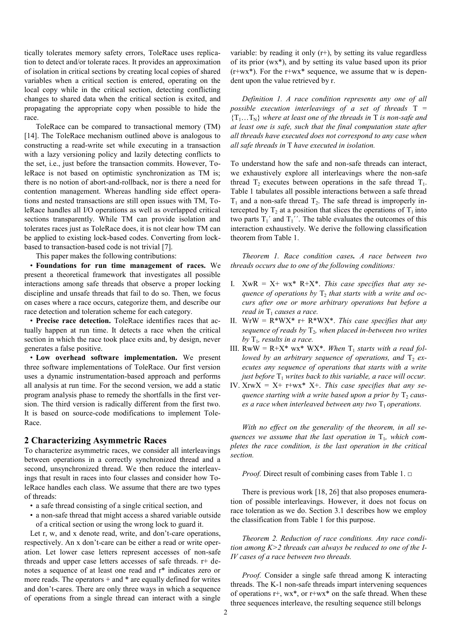tically tolerates memory safety errors, ToleRace uses replication to detect and/or tolerate races. It provides an approximation of isolation in critical sections by creating local copies of shared variables when a critical section is entered, operating on the local copy while in the critical section, detecting conflicting changes to shared data when the critical section is exited, and propagating the appropriate copy when possible to hide the race.

ToleRace can be compared to transactional memory (TM) [14]. The ToleRace mechanism outlined above is analogous to constructing a read-write set while executing in a transaction with a lazy versioning policy and lazily detecting conflicts to the set, i.e., just before the transaction commits. However, ToleRace is not based on optimistic synchronization as TM is; there is no notion of abort-and-rollback, nor is there a need for contention management. Whereas handling side effect operations and nested transactions are still open issues with TM, ToleRace handles all I/O operations as well as overlapped critical sections transparently. While TM can provide isolation and tolerates races just as ToleRace does, it is not clear how TM can be applied to existing lock-based codes. Converting from lockbased to transaction-based code is not trivial [7].

This paper makes the following contributions:

• **Foundations for run time management of races.** We present a theoretical framework that investigates all possible interactions among safe threads that observe a proper locking discipline and unsafe threads that fail to do so. Then, we focus on cases where a race occurs, categorize them, and describe our race detection and toleration scheme for each category.

• **Precise race detection.** ToleRace identifies races that actually happen at run time. It detects a race when the critical section in which the race took place exits and, by design, never generates a false positive.

• **Low overhead software implementation.** We present three software implementations of ToleRace. Our first version uses a dynamic instrumentation-based approach and performs all analysis at run time. For the second version, we add a static program analysis phase to remedy the shortfalls in the first version. The third version is radically different from the first two. It is based on source-code modifications to implement Tole-Race.

## **2 Characterizing Asymmetric Races**

To characterize asymmetric races, we consider all interleavings between operations in a correctly synchronized thread and a second, unsynchronized thread. We then reduce the interleavings that result in races into four classes and consider how ToleRace handles each class. We assume that there are two types of threads:

- a safe thread consisting of a single critical section, and
- a non-safe thread that might access a shared variable outside of a critical section or using the wrong lock to guard it.

Let r, w, and x denote read, write, and don't-care operations, respectively. An x don't-care can be either a read or write operation. Let lower case letters represent accesses of non-safe threads and upper case letters accesses of safe threads. r+ denotes a sequence of at least one read and r\* indicates zero or more reads. The operators  $+$  and  $*$  are equally defined for writes and don't-cares. There are only three ways in which a sequence of operations from a single thread can interact with a single

variable: by reading it only  $(r+)$ , by setting its value regardless of its prior (wx\*), and by setting its value based upon its prior  $(r+wx^*)$ . For the  $r+wx^*$  sequence, we assume that w is dependent upon the value retrieved by r.

*Definition 1. A race condition represents any one of all possible execution interleavings of a set of threads* T =  ${T_1...T_N}$  where at least one of the threads in T is non-safe and *at least one is safe, such that the final computation state after all threads have executed does not correspond to any case when all safe threads in* T *have executed in isolation.*

To understand how the safe and non-safe threads can interact, we exhaustively explore all interleavings where the non-safe thread  $T_2$  executes between operations in the safe thread  $T_1$ . Table 1 tabulates all possible interactions between a safe thread  $T_1$  and a non-safe thread  $T_2$ . The safe thread is improperly intercepted by  $T_2$  at a position that slices the operations of  $T_1$  into two parts  $T_1'$  and  $T_1'$ . The table evaluates the outcomes of this interaction exhaustively. We derive the following classification theorem from Table 1.

*Theorem 1. Race condition cases. A race between two threads occurs due to one of the following conditions:*

- I. XwR = X+ wx\* R+X\*. *This case specifies that any se*quence of operations by  $T_2$  that starts with a write and oc*curs after one or more arbitrary operations but before a read in*  $T_1$  *causes a race.*
- II. WrW = R\*WX\* r+ R\*WX\*. *This case specifies that any*  sequence of reads by  $T_2$ , when placed in-between two writes by  $T_1$ , results in a race.
- III.  $RWW = R+X^*$  wx<sup>\*</sup> WX<sup>\*</sup>. When  $T_1$  starts with a read fol*lowed by an arbitrary sequence of operations, and*  $T_2$  *executes any sequence of operations that starts with a write just before*  $T_1$  *writes back to this variable, a race will occur.*
- IV. XrwX = X+ r+wx\* X+. *This case specifies that any sequence starting with a write based upon a prior by*  $T_2$  *causes a race when interleaved between any two*  $T_1$  *operations.*

*With no effect on the generality of the theorem, in all se*quences we assume that the last operation in T<sub>1</sub>, which com*pletes the race condition, is the last operation in the critical section.*

*Proof.* Direct result of combining cases from Table 1. □

There is previous work [18, 26] that also proposes enumeration of possible interleavings. However, it does not focus on race toleration as we do. Section 3.1 describes how we employ the classification from Table 1 for this purpose.

*Theorem 2. Reduction of race conditions. Any race condition among K>2 threads can always be reduced to one of the I-IV cases of a race between two threads.*

*Proof.* Consider a single safe thread among K interacting threads. The K-1 non-safe threads impart intervening sequences of operations  $r^+$ , wx\*, or  $r^+$ wx\* on the safe thread. When these three sequences interleave, the resulting sequence still belongs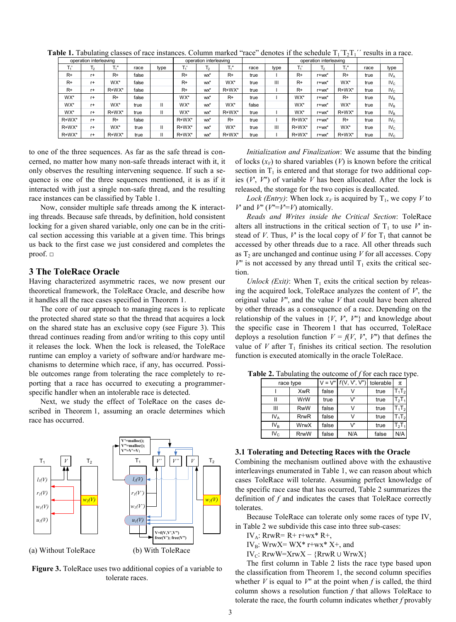|          | operation interleaving |          |       |      |          | operation interleaving |          |       |      | operation interleaving |          |          |      |                 |
|----------|------------------------|----------|-------|------|----------|------------------------|----------|-------|------|------------------------|----------|----------|------|-----------------|
| т.,      | 12                     |          | race  | type |          | 12                     | $T_1$ "  | race  | type | T.                     | ر ا      | т."      | race | type            |
| $R+$     | r+                     | $R+$     | false |      | $R+$     | WX <sup>*</sup>        | $R+$     | true  |      | $R+$                   | $r+wx^*$ | $R+$     | true | $IV_A$          |
| $R+$     | r+                     | WX*      | false |      | $R+$     | WX <sup>*</sup>        | WX*      | true  | Ш    | $R+$                   | $r+wx^*$ | WX*      | true | IV <sub>c</sub> |
| $R+$     | r+                     | $R+WX^*$ | false |      | $R+$     | WX <sup>*</sup>        | $R+WX^*$ | true  |      | $R+$                   | $r+wx^*$ | $R+WX^*$ | true | IV <sub>c</sub> |
| WX*      | $r+$                   | $R+$     | false |      | WX*      | WX <sup>*</sup>        | $R+$     | true  |      | WX*                    | $r+wx^*$ | $R+$     | true | $IV_{B}$        |
| WX*      | r+                     | WX*      | true  |      | WX*      | WX <sup>*</sup>        | WX*      | false |      | WX*                    | $r+wx^*$ | WX*      | true | $IV_{B}$        |
| WX*      | r+                     | $R+WX^*$ | true  | Ш    | WX*      | WX <sup>*</sup>        | $R+WX^*$ | true  |      | WX*                    | $r+wx^*$ | $R+WX^*$ | true | $IV_{B}$        |
| $R+WX^*$ | $r+$                   | $R+$     | false |      | $R+WX^*$ | wx*                    | $R+$     | true  |      | $R+WX^*$               | $r+wx^*$ | $R+$     | true | IV <sub>c</sub> |
| $R+WX^*$ | r+                     | WX*      | true  | Ш    | $R+WX^*$ | WX <sup>*</sup>        | WX*      | true  | Ш    | $R+WX^*$               | $r+wx^*$ | WX*      | true | IV <sub>c</sub> |
| $R+WX^*$ | r+                     | $R+WX^*$ | true  |      | $R+WX^*$ | WX <sup>*</sup>        | $R+WX^*$ | true  |      | $R+WX^*$               | $r+wx^*$ | $R+WX^*$ | true | IV <sub>c</sub> |

**Table 1.** Tabulating classes of race instances. Column marked "race" denotes if the schedule  $T_1/T_2T_1'$  results in a race.

to one of the three sequences. As far as the safe thread is concerned, no matter how many non-safe threads interact with it, it only observes the resulting intervening sequence. If such a sequence is one of the three sequences mentioned, it is as if it interacted with just a single non-safe thread, and the resulting race instances can be classified by Table 1.

Now, consider multiple safe threads among the K interacting threads. Because safe threads, by definition, hold consistent locking for a given shared variable, only one can be in the critical section accessing this variable at a given time. This brings us back to the first case we just considered and completes the proof. □

# **3 The ToleRace Oracle**

Having characterized asymmetric races, we now present our theoretical framework, the ToleRace Oracle, and describe how it handles all the race cases specified in Theorem 1.

The core of our approach to managing races is to replicate the protected shared state so that the thread that acquires a lock on the shared state has an exclusive copy (see Figure 3). This thread continues reading from and/or writing to this copy until it releases the lock. When the lock is released, the ToleRace runtime can employ a variety of software and/or hardware mechanisms to determine which race, if any, has occurred. Possible outcomes range from tolerating the race completely to reporting that a race has occurred to executing a programmerspecific handler when an intolerable race is detected.

Next, we study the effect of ToleRace on the cases described in Theorem 1, assuming an oracle determines which race has occurred.



**Figure 3.** ToleRace uses two additional copies of a variable to tolerate races.

*Initialization and Finalization*: We assume that the binding of locks  $(x_V)$  to shared variables  $(V)$  is known before the critical section in  $T_1$  is entered and that storage for two additional copies (*V*', *V*'') of variable *V* has been allocated. After the lock is released, the storage for the two copies is deallocated.

*Lock (Entry)*: When lock  $x_V$  is acquired by  $T_1$ , we copy *V* to *V*<sup> $\prime$ </sup> and *V*<sup> $\prime$ </sup> (*V*<sup> $\prime$ </sup>=*V*<sup> $\prime$ </sup>=*V*) atomically.

*Reads and Writes inside the Critical Section*: ToleRace alters all instructions in the critical section of  $T_1$  to use  $V'$  instead of *V*. Thus, *V* is the local copy of *V* for  $T_1$  that cannot be accessed by other threads due to a race. All other threads such as  $T_2$  are unchanged and continue using  $V$  for all accesses. Copy  $V^{\prime\prime}$  is not accessed by any thread until  $T_1$  exits the critical section.

*Unlock (Exit)*: When  $T_1$  exits the critical section by releasing the acquired lock, ToleRace analyzes the content of *V*', the original value  $V'$ <sup>"</sup>, and the value  $V$  that could have been altered by other threads as a consequence of a race. Depending on the relationship of the values in  $\{V, V, V'\}$  and knowledge about the specific case in Theorem 1 that has occurred, ToleRace deploys a resolution function  $V = f(V, V, V')$  that defines the value of  $V$  after  $T_1$  finishes its critical section. The resolution function is executed atomically in the oracle ToleRace.

**Table 2.** Tabulating the outcome of *f* for each race type.

|          | race type   |       | $V = V''   f(V, V', V'')  $ | tolerable | π        |
|----------|-------------|-------|-----------------------------|-----------|----------|
|          | <b>XwR</b>  | false |                             | true      | $T_1T_2$ |
| Ш        | WrW         | true  | V                           | true      | $T_2T_1$ |
| Ш        | <b>RwW</b>  | false | ν                           | true      | $T_1T_2$ |
| $IV_A$   | <b>RrwR</b> | false | ν                           | true      | $T_1T_2$ |
| $IV_{R}$ | WrwX        | false | V                           | true      | $T_2T_1$ |
| $IV_{C}$ | <b>RrwW</b> | false | N/A                         | false     | N/A      |

#### **3.1 Tolerating and Detecting Races with the Oracle**

Combining the mechanism outlined above with the exhaustive interleavings enumerated in Table 1, we can reason about which cases ToleRace will tolerate. Assuming perfect knowledge of the specific race case that has occurred, Table 2 summarizes the definition of *f* and indicates the cases that ToleRace correctly tolerates.

Because ToleRace can tolerate only some races of type IV, in Table 2 we subdivide this case into three sub-cases:

- IV<sub>A</sub>: RrwR=  $R+ r+wx* R+$ ,
- IV<sub>B</sub>: WrwX= WX\*  $r+wx* X+$ , and
- IV<sub>C</sub>: RrwW=XrwX {RrwR ∪ WrwX}

The first column in Table 2 lists the race type based upon the classification from Theorem 1, the second column specifies whether  $V$  is equal to  $V'$  at the point when  $f$  is called, the third column shows a resolution function *f* that allows ToleRace to tolerate the race, the fourth column indicates whether *f* provably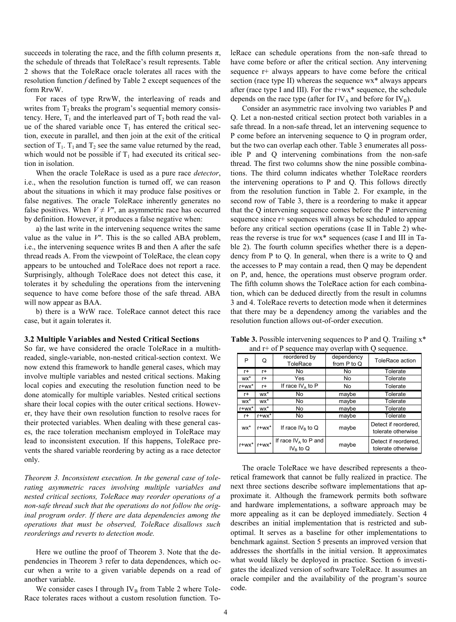succeeds in tolerating the race, and the fifth column presents  $\pi$ , the schedule of threads that ToleRace's result represents. Table 2 shows that the ToleRace oracle tolerates all races with the resolution function *f* defined by Table 2 except sequences of the form RrwW.

For races of type RrwW, the interleaving of reads and writes from  $T_2$  breaks the program's sequential memory consistency. Here,  $T_1$  and the interleaved part of  $T_2$  both read the value of the shared variable once  $T_1$  has entered the critical section, execute in parallel, and then join at the exit of the critical section of  $T_1$ .  $T_1$  and  $T_2$  see the same value returned by the read, which would not be possible if  $T_1$  had executed its critical section in isolation.

When the oracle ToleRace is used as a pure race *detector*, i.e., when the resolution function is turned off, we can reason about the situations in which it may produce false positives or false negatives. The oracle ToleRace inherently generates no false positives. When  $V \neq V'$ , an asymmetric race has occurred by definition. However, it produces a false negative when:

a) the last write in the intervening sequence writes the same value as the value in *V*''. This is the so called ABA problem, i.e., the intervening sequence writes B and then A after the safe thread reads A. From the viewpoint of ToleRace, the clean copy appears to be untouched and ToleRace does not report a race. Surprisingly, although ToleRace does not detect this case, it tolerates it by scheduling the operations from the intervening sequence to have come before those of the safe thread. ABA will now appear as BAA.

b) there is a WrW race. ToleRace cannot detect this race case, but it again tolerates it.

#### **3.2 Multiple Variables and Nested Critical Sections**

So far, we have considered the oracle ToleRace in a multithreaded, single-variable, non-nested critical-section context. We now extend this framework to handle general cases, which may involve multiple variables and nested critical sections. Making local copies and executing the resolution function need to be done atomically for multiple variables. Nested critical sections share their local copies with the outer critical sections. However, they have their own resolution function to resolve races for their protected variables. When dealing with these general cases, the race toleration mechanism employed in ToleRace may lead to inconsistent execution. If this happens, ToleRace prevents the shared variable reordering by acting as a race detector only.

*Theorem 3. Inconsistent execution. In the general case of tolerating asymmetric races involving multiple variables and nested critical sections, ToleRace may reorder operations of a non-safe thread such that the operations do not follow the original program order. If there are data dependencies among the operations that must be observed, ToleRace disallows such reorderings and reverts to detection mode.*

Here we outline the proof of Theorem 3. Note that the dependencies in Theorem 3 refer to data dependences, which occur when a write to a given variable depends on a read of another variable.

We consider cases I through  $IV<sub>B</sub>$  from Table 2 where Tole-Race tolerates races without a custom resolution function. To-

leRace can schedule operations from the non-safe thread to have come before or after the critical section. Any intervening sequence r+ always appears to have come before the critical section (race type II) whereas the sequence wx\* always appears after (race type I and III). For the r+wx\* sequence, the schedule depends on the race type (after for  $IV_A$  and before for  $IV_B$ ).

Consider an asymmetric race involving two variables P and Q. Let a non-nested critical section protect both variables in a safe thread. In a non-safe thread, let an intervening sequence to P come before an intervening sequence to Q in program order, but the two can overlap each other. Table 3 enumerates all possible P and Q intervening combinations from the non-safe thread. The first two columns show the nine possible combinations. The third column indicates whether ToleRace reorders the intervening operations to P and Q. This follows directly from the resolution function in Table 2. For example, in the second row of Table 3, there is a reordering to make it appear that the Q intervening sequence comes before the P intervening sequence since r+ sequences will always be scheduled to appear before any critical section operations (case II in Table 2) whereas the reverse is true for wx\* sequences (case I and III in Table 2). The fourth column specifies whether there is a dependency from P to Q. In general, when there is a write to Q and the accesses to P may contain a read, then Q may be dependent on P, and, hence, the operations must observe program order. The fifth column shows the ToleRace action for each combination, which can be deduced directly from the result in columns 3 and 4. ToleRace reverts to detection mode when it determines that there may be a dependency among the variables and the resolution function allows out-of-order execution.

| P        | Q        | reordered by<br><b>ToleRace</b>      | dependency<br>from P to Q | <b>ToleRace action</b>                     |
|----------|----------|--------------------------------------|---------------------------|--------------------------------------------|
| $r+$     | $r+$     | No                                   | No                        | Tolerate                                   |
| wx*      | r+       | Yes                                  | No                        | Tolerate                                   |
| $r+wx*$  | r+       | If race $IV_A$ to P                  | No                        | Tolerate                                   |
| $r+$     | wx*      | No                                   | maybe                     | Tolerate                                   |
| wx*      | wx*      | No                                   | maybe                     | Tolerate                                   |
| $r+wx^*$ | wx*      | No                                   | maybe                     | Tolerate                                   |
| $r+$     | $r+wx^*$ | No                                   | maybe                     | Tolerate                                   |
| wx*      | $r+wx*$  | If race $IVB$ to Q                   | maybe                     | Detect if reordered,<br>tolerate otherwise |
| $r+wx*$  | $r+wx*$  | If race $IVA$ to P and<br>$IVB$ to Q | maybe                     | Detect if reordered,<br>tolerate otherwise |

**Table 3.** Possible intervening sequences to P and Q. Trailing x\* and r+ of P sequence may overlap with Q sequence.

The oracle ToleRace we have described represents a theoretical framework that cannot be fully realized in practice. The next three sections describe software implementations that approximate it. Although the framework permits both software and hardware implementations, a software approach may be more appealing as it can be deployed immediately. Section 4 describes an initial implementation that is restricted and suboptimal. It serves as a baseline for other implementations to benchmark against. Section 5 presents an improved version that addresses the shortfalls in the initial version. It approximates what would likely be deployed in practice. Section 6 investigates the idealized version of software ToleRace. It assumes an oracle compiler and the availability of the program's source code.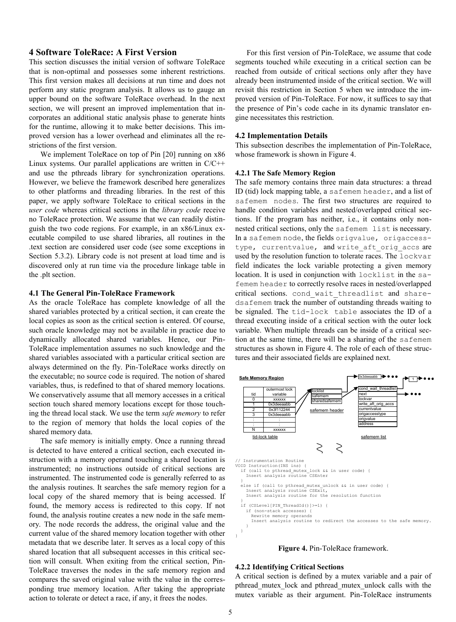# **4 Software ToleRace: A First Version**

This section discusses the initial version of software ToleRace that is non-optimal and possesses some inherent restrictions. This first version makes all decisions at run time and does not perform any static program analysis. It allows us to gauge an upper bound on the software ToleRace overhead. In the next section, we will present an improved implementation that incorporates an additional static analysis phase to generate hints for the runtime, allowing it to make better decisions. This improved version has a lower overhead and eliminates all the restrictions of the first version.

We implement ToleRace on top of Pin [20] running on x86 Linux systems. Our parallel applications are written in C/C++ and use the pthreads library for synchronization operations. However, we believe the framework described here generalizes to other platforms and threading libraries. In the rest of this paper, we apply software ToleRace to critical sections in the *user code* whereas critical sections in the *library code* receive no ToleRace protection. We assume that we can readily distinguish the two code regions. For example, in an x86/Linux executable compiled to use shared libraries, all routines in the .text section are considered user code (see some exceptions in Section 5.3.2). Library code is not present at load time and is discovered only at run time via the procedure linkage table in the .plt section.

## **4.1 The General Pin-ToleRace Framework**

As the oracle ToleRace has complete knowledge of all the shared variables protected by a critical section, it can create the local copies as soon as the critical section is entered. Of course, such oracle knowledge may not be available in practice due to dynamically allocated shared variables. Hence, our Pin-ToleRace implementation assumes no such knowledge and the shared variables associated with a particular critical section are always determined on the fly. Pin-ToleRace works directly on the executable; no source code is required. The notion of shared variables, thus, is redefined to that of shared memory locations. We conservatively assume that all memory accesses in a critical section touch shared memory locations except for those touching the thread local stack. We use the term *safe memory* to refer to the region of memory that holds the local copies of the shared memory data.

The safe memory is initially empty. Once a running thread is detected to have entered a critical section, each executed instruction with a memory operand touching a shared location is instrumented; no instructions outside of critical sections are instrumented. The instrumented code is generally referred to as the analysis routines. It searches the safe memory region for a local copy of the shared memory that is being accessed. If found, the memory access is redirected to this copy. If not found, the analysis routine creates a new node in the safe memory. The node records the address, the original value and the current value of the shared memory location together with other metadata that we describe later. It serves as a local copy of this shared location that all subsequent accesses in this critical section will consult. When exiting from the critical section, Pin-ToleRace traverses the nodes in the safe memory region and compares the saved original value with the value in the corresponding true memory location. After taking the appropriate action to tolerate or detect a race, if any, it frees the nodes.

For this first version of Pin-ToleRace, we assume that code segments touched while executing in a critical section can be reached from outside of critical sections only after they have already been instrumented inside of the critical section. We will revisit this restriction in Section 5 when we introduce the improved version of Pin-ToleRace. For now, it suffices to say that the presence of Pin's code cache in its dynamic translator engine necessitates this restriction.

#### **4.2 Implementation Details**

This subsection describes the implementation of Pin-ToleRace, whose framework is shown in Figure 4.

#### **4.2.1 The Safe Memory Region**

The safe memory contains three main data structures: a thread ID (tid) lock mapping table, a safemem header, and a list of safemem nodes. The first two structures are required to handle condition variables and nested/overlapped critical sections. If the program has neither, i.e., it contains only nonnested critical sections, only the safemem list is necessary. In a safemem node, the fields origvalue, origaccesstype, currentvalue, and write aft orig accs are used by the resolution function to tolerate races. The lockvar field indicates the lock variable protecting a given memory location. It is used in conjunction with locklist in the safemem header to correctly resolve races in nested/overlapped critical sections. cond\_wait\_threadlist and sharedsafemem track the number of outstanding threads waiting to be signaled. The tid-lock table associates the ID of a thread executing inside of a critical section with the outer lock variable. When multiple threads can be inside of a critical section at the same time, there will be a sharing of the safemem structures as shown in Figure 4. The role of each of these structures and their associated fields are explained next.



**Figure 4.** Pin-ToleRace framework.

## **4.2.2 Identifying Critical Sections**

A critical section is defined by a mutex variable and a pair of pthread\_mutex\_lock and pthread\_mutex\_unlock calls with the mutex variable as their argument. Pin-ToleRace instruments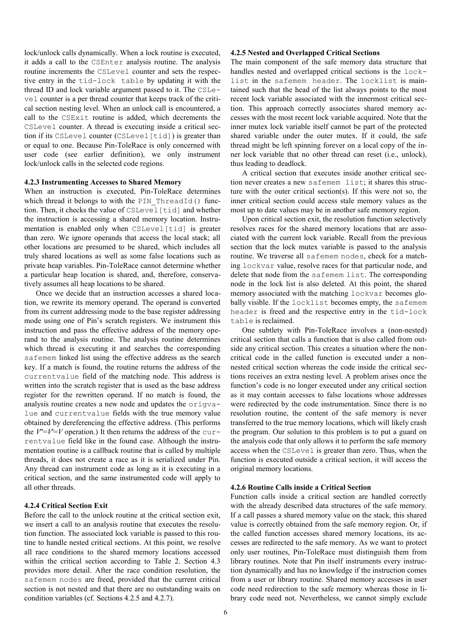lock/unlock calls dynamically. When a lock routine is executed, it adds a call to the CSEnter analysis routine. The analysis routine increments the CSLevel counter and sets the respective entry in the tid-lock table by updating it with the thread ID and lock variable argument passed to it. The CSLevel counter is a per thread counter that keeps track of the critical section nesting level. When an unlock call is encountered, a call to the CSExit routine is added, which decrements the CSLevel counter. A thread is executing inside a critical section if its CSLevel counter (CSLevel[tid]) is greater than or equal to one. Because Pin-ToleRace is only concerned with user code (see earlier definition), we only instrument lock/unlock calls in the selected code regions.

## **4.2.3 Instrumenting Accesses to Shared Memory**

When an instruction is executed, Pin-ToleRace determines which thread it belongs to with the PIN\_ThreadId() function. Then, it checks the value of CSLevel[tid] and whether the instruction is accessing a shared memory location. Instrumentation is enabled only when CSLevel[tid] is greater than zero. We ignore operands that access the local stack; all other locations are presumed to be shared, which includes all truly shared locations as well as some false locations such as private heap variables. Pin-ToleRace cannot determine whether a particular heap location is shared, and, therefore, conservatively assumes all heap locations to be shared.

Once we decide that an instruction accesses a shared location, we rewrite its memory operand. The operand is converted from its current addressing mode to the base register addressing mode using one of Pin's scratch registers. We instrument this instruction and pass the effective address of the memory operand to the analysis routine. The analysis routine determines which thread is executing it and searches the corresponding safemem linked list using the effective address as the search key. If a match is found, the routine returns the address of the currentvalue field of the matching node. This address is written into the scratch register that is used as the base address register for the rewritten operand. If no match is found, the analysis routine creates a new node and updates the origvalue and currentvalue fields with the true memory value obtained by dereferencing the effective address. (This performs the  $V''=V'=V$  operation.) It then returns the address of the currentvalue field like in the found case. Although the instrumentation routine is a callback routine that is called by multiple threads, it does not create a race as it is serialized under Pin. Any thread can instrument code as long as it is executing in a critical section, and the same instrumented code will apply to all other threads.

# **4.2.4 Critical Section Exit**

Before the call to the unlock routine at the critical section exit, we insert a call to an analysis routine that executes the resolution function. The associated lock variable is passed to this routine to handle nested critical sections. At this point, we resolve all race conditions to the shared memory locations accessed within the critical section according to Table 2. Section 4.3 provides more detail. After the race condition resolution, the safemem nodes are freed, provided that the current critical section is not nested and that there are no outstanding waits on condition variables (cf. Sections 4.2.5 and 4.2.7).

## **4.2.5 Nested and Overlapped Critical Sections**

The main component of the safe memory data structure that handles nested and overlapped critical sections is the locklist in the safemem header. The locklist is maintained such that the head of the list always points to the most recent lock variable associated with the innermost critical section. This approach correctly associates shared memory accesses with the most recent lock variable acquired. Note that the inner mutex lock variable itself cannot be part of the protected shared variable under the outer mutex. If it could, the safe thread might be left spinning forever on a local copy of the inner lock variable that no other thread can reset (i.e., unlock), thus leading to deadlock.

A critical section that executes inside another critical section never creates a new safemem list; it shares this structure with the outer critical section(s). If this were not so, the inner critical section could access stale memory values as the most up to date values may be in another safe memory region.

Upon critical section exit, the resolution function selectively resolves races for the shared memory locations that are associated with the current lock variable. Recall from the previous section that the lock mutex variable is passed to the analysis routine. We traverse all safemem nodes, check for a matching lockvar value, resolve races for that particular node, and delete that node from the safemem list. The corresponding node in the lock list is also deleted. At this point, the shared memory associated with the matching lockvar becomes globally visible. If the locklist becomes empty, the safemem header is freed and the respective entry in the tid-lock table is reclaimed.

One subtlety with Pin-ToleRace involves a (non-nested) critical section that calls a function that is also called from outside any critical section. This creates a situation where the noncritical code in the called function is executed under a nonnested critical section whereas the code inside the critical sections receives an extra nesting level. A problem arises once the function's code is no longer executed under any critical section as it may contain accesses to false locations whose addresses were redirected by the code instrumentation. Since there is no resolution routine, the content of the safe memory is never transferred to the true memory locations, which will likely crash the program. Our solution to this problem is to put a guard on the analysis code that only allows it to perform the safe memory access when the CSLevel is greater than zero. Thus, when the function is executed outside a critical section, it will access the original memory locations.

## **4.2.6 Routine Calls inside a Critical Section**

Function calls inside a critical section are handled correctly with the already described data structures of the safe memory. If a call passes a shared memory value on the stack, this shared value is correctly obtained from the safe memory region. Or, if the called function accesses shared memory locations, its accesses are redirected to the safe memory. As we want to protect only user routines, Pin-ToleRace must distinguish them from library routines. Note that Pin itself instruments every instruction dynamically and has no knowledge if the instruction comes from a user or library routine. Shared memory accesses in user code need redirection to the safe memory whereas those in library code need not. Nevertheless, we cannot simply exclude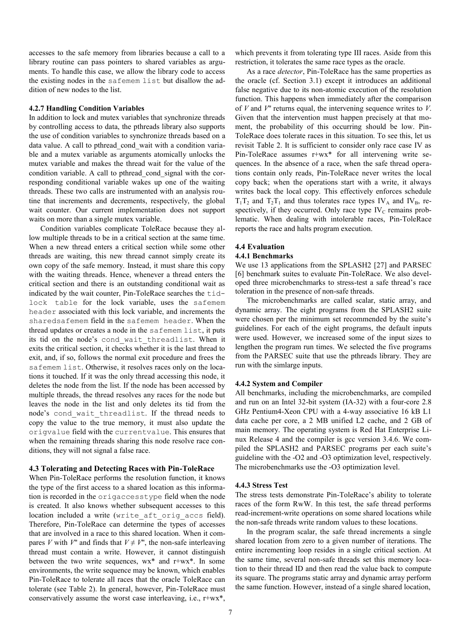accesses to the safe memory from libraries because a call to a library routine can pass pointers to shared variables as arguments. To handle this case, we allow the library code to access the existing nodes in the safemem list but disallow the addition of new nodes to the list.

## **4.2.7 Handling Condition Variables**

In addition to lock and mutex variables that synchronize threads by controlling access to data, the pthreads library also supports the use of condition variables to synchronize threads based on a data value. A call to pthread\_cond\_wait with a condition variable and a mutex variable as arguments atomically unlocks the mutex variable and makes the thread wait for the value of the condition variable. A call to pthread\_cond\_signal with the corresponding conditional variable wakes up one of the waiting threads. These two calls are instrumented with an analysis routine that increments and decrements, respectively, the global wait counter. Our current implementation does not support waits on more than a single mutex variable.

Condition variables complicate ToleRace because they allow multiple threads to be in a critical section at the same time. When a new thread enters a critical section while some other threads are waiting, this new thread cannot simply create its own copy of the safe memory. Instead, it must share this copy with the waiting threads. Hence, whenever a thread enters the critical section and there is an outstanding conditional wait as indicated by the wait counter, Pin-ToleRace searches the tidlock table for the lock variable, uses the safemem header associated with this lock variable, and increments the sharedsafemem field in the safemem header. When the thread updates or creates a node in the safemem list, it puts its tid on the node's cond\_wait\_threadlist. When it exits the critical section, it checks whether it is the last thread to exit, and, if so, follows the normal exit procedure and frees the safemem list. Otherwise, it resolves races only on the locations it touched. If it was the only thread accessing this node, it deletes the node from the list. If the node has been accessed by multiple threads, the thread resolves any races for the node but leaves the node in the list and only deletes its tid from the node's cond\_wait\_threadlist. If the thread needs to copy the value to the true memory, it must also update the origvalue field with the currentvalue. This ensures that when the remaining threads sharing this node resolve race conditions, they will not signal a false race.

#### **4.3 Tolerating and Detecting Races with Pin-ToleRace**

When Pin-ToleRace performs the resolution function, it knows the type of the first access to a shared location as this information is recorded in the origaccesstype field when the node is created. It also knows whether subsequent accesses to this location included a write (write\_aft\_orig\_accs field). Therefore, Pin-ToleRace can determine the types of accesses that are involved in a race to this shared location. When it compares *V* with *V*<sup>"</sup> and finds that  $V \neq V$ <sup>"</sup>, the non-safe interleaving thread must contain a write. However, it cannot distinguish between the two write sequences, wx\* and r+wx\*. In some environments, the write sequence may be known, which enables Pin-ToleRace to tolerate all races that the oracle ToleRace can tolerate (see Table 2). In general, however, Pin-ToleRace must conservatively assume the worst case interleaving, i.e., r+wx\*,

which prevents it from tolerating type III races. Aside from this restriction, it tolerates the same race types as the oracle.

As a race *detector*, Pin-ToleRace has the same properties as the oracle (cf. Section 3.1) except it introduces an additional false negative due to its non-atomic execution of the resolution function. This happens when immediately after the comparison of *V* and *V*'' returns equal, the intervening sequence writes to *V*. Given that the intervention must happen precisely at that moment, the probability of this occurring should be low. Pin-ToleRace does tolerate races in this situation. To see this, let us revisit Table 2. It is sufficient to consider only race case IV as Pin-ToleRace assumes r+wx\* for all intervening write sequences. In the absence of a race, when the safe thread operations contain only reads, Pin-ToleRace never writes the local copy back; when the operations start with a write, it always writes back the local copy. This effectively enforces schedule  $T_1T_2$  and  $T_2T_1$  and thus tolerates race types IV<sub>A</sub> and IV<sub>B</sub>, respectively, if they occurred. Only race type  $IV<sub>C</sub>$  remains problematic. When dealing with intolerable races, Pin-ToleRace reports the race and halts program execution.

# **4.4 Evaluation**

# **4.4.1 Benchmarks**

We use 13 applications from the SPLASH2 [27] and PARSEC [6] benchmark suites to evaluate Pin-ToleRace. We also developed three microbenchmarks to stress-test a safe thread's race toleration in the presence of non-safe threads.

The microbenchmarks are called scalar, static array, and dynamic array. The eight programs from the SPLASH2 suite were chosen per the minimum set recommended by the suite's guidelines. For each of the eight programs, the default inputs were used. However, we increased some of the input sizes to lengthen the program run times. We selected the five programs from the PARSEC suite that use the pthreads library. They are run with the simlarge inputs.

#### **4.4.2 System and Compiler**

All benchmarks, including the microbenchmarks, are compiled and run on an Intel 32-bit system (IA-32) with a four-core 2.8 GHz Pentium4-Xeon CPU with a 4-way associative 16 kB L1 data cache per core, a 2 MB unified L2 cache, and 2 GB of main memory. The operating system is Red Hat Enterprise Linux Release 4 and the compiler is gcc version 3.4.6. We compiled the SPLASH2 and PARSEC programs per each suite's guideline with the -O2 and -O3 optimization level, respectively. The microbenchmarks use the -O3 optimization level.

## **4.4.3 Stress Test**

The stress tests demonstrate Pin-ToleRace's ability to tolerate races of the form RwW. In this test, the safe thread performs read-increment-write operations on some shared locations while the non-safe threads write random values to these locations.

In the program scalar, the safe thread increments a single shared location from zero to a given number of iterations. The entire incrementing loop resides in a single critical section. At the same time, several non-safe threads set this memory location to their thread ID and then read the value back to compute its square. The programs static array and dynamic array perform the same function. However, instead of a single shared location,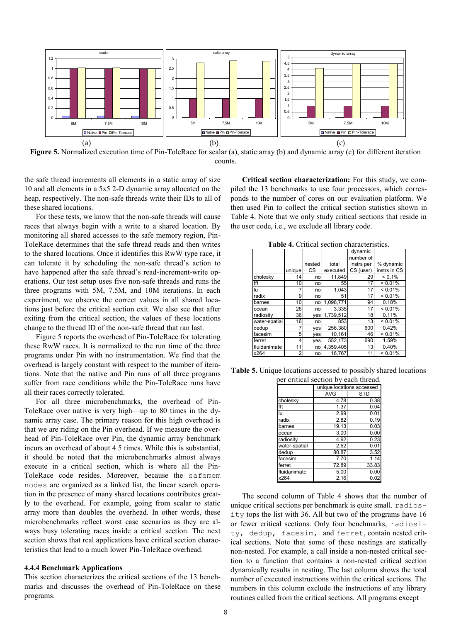

**Figure 5.** Normalized execution time of Pin-ToleRace for scalar (a), static array (b) and dynamic array (c) for different iteration counts.

the safe thread increments all elements in a static array of size 10 and all elements in a 5x5 2-D dynamic array allocated on the heap, respectively. The non-safe threads write their IDs to all of these shared locations.

For these tests, we know that the non-safe threads will cause races that always begin with a write to a shared location. By monitoring all shared accesses to the safe memory region, Pin-ToleRace determines that the safe thread reads and then writes to the shared locations. Once it identifies this RwW type race, it can tolerate it by scheduling the non-safe thread's action to have happened after the safe thread's read-increment-write operations. Our test setup uses five non-safe threads and runs the three programs with 5M, 7.5M, and 10M iterations. In each experiment, we observe the correct values in all shared locations just before the critical section exit. We also see that after exiting from the critical section, the values of these locations change to the thread ID of the non-safe thread that ran last.

Figure 5 reports the overhead of Pin-ToleRace for tolerating these RwW races. It is normalized to the run time of the three programs under Pin with no instrumentation. We find that the overhead is largely constant with respect to the number of iterations. Note that the native and Pin runs of all three programs suffer from race conditions while the Pin-ToleRace runs have all their races correctly tolerated.

For all three microbenchmarks, the overhead of Pin-ToleRace over native is very high—up to 80 times in the dynamic array case. The primary reason for this high overhead is that we are riding on the Pin overhead. If we measure the overhead of Pin-ToleRace over Pin, the dynamic array benchmark incurs an overhead of about 4.5 times. While this is substantial, it should be noted that the microbenchmarks almost always execute in a critical section, which is where all the Pin-ToleRace code resides. Moreover, because the safemem nodes are organized as a linked list, the linear search operation in the presence of many shared locations contributes greatly to the overhead. For example, going from scalar to static array more than doubles the overhead. In other words, these microbenchmarks reflect worst case scenarios as they are always busy tolerating races inside a critical section. The next section shows that real applications have critical section characteristics that lead to a much lower Pin-ToleRace overhead.

## **4.4.4 Benchmark Applications**

This section characterizes the critical sections of the 13 benchmarks and discusses the overhead of Pin-ToleRace on these programs.

**Critical section characterization:** For this study, we compiled the 13 benchmarks to use four processors, which corresponds to the number of cores on our evaluation platform. We then used Pin to collect the critical section statistics shown in Table 4. Note that we only study critical sections that reside in the user code, i.e., we exclude all library code.

**Table 4.** Critical section characteristics.

|               |        |            |           | dynamic    |              |
|---------------|--------|------------|-----------|------------|--------------|
|               |        |            |           | number of  |              |
|               |        | nested     | total     | instrs per | % dynamic    |
|               | unique | CS         | executed  | CS (user)  | instrs in CS |
| cholesky      | 14     | no         | 11,849    | 29         | $< 0.1\%$    |
| fft           | 10     | no         | 55        | 17         | < 0.01%      |
| lu            | 7      | no         | 1.043     | 17         | < 0.01%      |
| radix         | 9      | no         | 51        | 17         | < 0.01%      |
| barnes        | 10     | no         | 1,098,771 | 94         | 0.18%        |
| ocean         | 26     | no         | 3.335     | 17         | < 0.01%      |
| radiosity     | 36     | ves        | 1.739.512 | 18         | 0.11%        |
| water-spatial | 16     | no         | 853       | 13         | < 0.01%      |
| dedup         |        | yes        | 256.380   | 600        | 0.42%        |
| facesim       | 5      | <b>ves</b> | 10,161    | 46         | < 0.01%      |
| ferret        | 4      | ves        | 552,173   | 690        | 1.59%        |
| fluidanimate  | 11     | no         | 4.359.405 | 13         | 0.40%        |
| x264          | 2      | no         | 16.767    | 11         | < 0.01%      |

| <b>Table 5.</b> Unique locations accessed to possibly shared locations |
|------------------------------------------------------------------------|
| per critical section by each thread.                                   |

| $\sigma$ . There are seen on $\sigma$ , then the cause |                           |            |  |  |  |  |
|--------------------------------------------------------|---------------------------|------------|--|--|--|--|
|                                                        | unique locations accessed |            |  |  |  |  |
|                                                        | <b>AVG</b>                | <b>STD</b> |  |  |  |  |
| cholesky                                               | 4.78                      | 0.38       |  |  |  |  |
| fft                                                    | 1.37                      | 0.04       |  |  |  |  |
| lu                                                     | 2.99                      | 0.01       |  |  |  |  |
| radix                                                  | 2.82                      | 0.19       |  |  |  |  |
| barnes                                                 | 19.13                     | 0.03       |  |  |  |  |
| ocean                                                  | 3.00                      | 0.00       |  |  |  |  |
| radiosity                                              | 4.92                      | 0.23       |  |  |  |  |
| water-spatial                                          | 2.62                      | 0.01       |  |  |  |  |
| dedup                                                  | 80.87                     | 3.52       |  |  |  |  |
| facesim                                                | 7.70                      | 1.14       |  |  |  |  |
| ferret                                                 | 72.89                     | 33.83      |  |  |  |  |
| fluidanimate                                           | 5.00                      | 0.00       |  |  |  |  |
| x264                                                   | 2.16                      | 0.02       |  |  |  |  |

The second column of Table 4 shows that the number of unique critical sections per benchmark is quite small. radiosity tops the list with 36. All but two of the programs have 16 or fewer critical sections. Only four benchmarks, radiosity, dedup, facesim, and ferret, contain nested critical sections. Note that some of these nestings are statically non-nested. For example, a call inside a non-nested critical section to a function that contains a non-nested critical section dynamically results in nesting. The last column shows the total number of executed instructions within the critical sections. The numbers in this column exclude the instructions of any library routines called from the critical sections. All programs except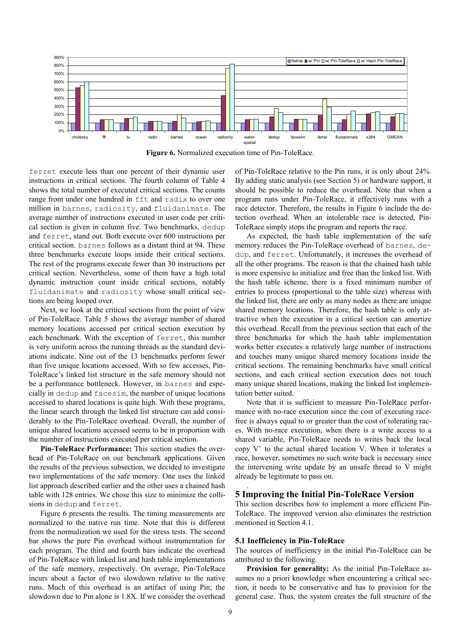

**Figure 6.** Normalized execution time of Pin-ToleRace.

ferret execute less than one percent of their dynamic user instructions in critical sections. The fourth column of Table 4 shows the total number of executed critical sections. The counts range from under one hundred in fft and radix to over one million in barnes, radiosity, and fluidanimate. The average number of instructions executed in user code per critical section is given in column five. Two benchmarks, dedup and ferret, stand out. Both execute over 600 instructions per critical section. barnes follows as a distant third at 94. These three benchmarks execute loops inside their critical sections. The rest of the programs execute fewer than 30 instructions per critical section. Nevertheless, some of them have a high total dynamic instruction count inside critical sections, notably fluidanimate and radiosity whose small critical sections are being looped over.

Next, we look at the critical sections from the point of view of Pin-ToleRace. Table 5 shows the average number of shared memory locations accessed per critical section execution by each benchmark. With the exception of ferret, this number is very uniform across the running threads as the standard deviations indicate. Nine out of the 13 benchmarks perform fewer than five unique locations accessed. With so few accesses, Pin-ToleRace's linked list structure in the safe memory should not be a performance bottleneck. However, in barnes and especially in dedup and facesim, the number of unique locations accessed to shared locations is quite high. With these programs, the linear search through the linked list structure can add considerably to the Pin-ToleRace overhead. Overall, the number of unique shared locations accessed seems to be in proportion with the number of instructions executed per critical section.

**Pin-ToleRace Performance:** This section studies the overhead of Pin-ToleRace on our benchmark applications. Given the results of the previous subsection, we decided to investigate two implementations of the safe memory. One uses the linked list approach described earlier and the other uses a chained hash table with 128 entries. We chose this size to minimize the collisions in dedup and ferret.

Figure 6 presents the results. The timing measurements are normalized to the native run time. Note that this is different from the normalization we used for the stress tests. The second bar shows the pure Pin overhead without instrumentation for each program. The third and fourth bars indicate the overhead of Pin-ToleRace with linked list and hash table implementations of the safe memory, respectively. On average, Pin-ToleRace incurs about a factor of two slowdown relative to the native runs. Much of this overhead is an artifact of using Pin; the slowdown due to Pin alone is 1.8X. If we consider the overhead

of Pin-ToleRace relative to the Pin runs, it is only about 24%. By adding static analysis (see Section 5) or hardware support, it should be possible to reduce the overhead. Note that when a program runs under Pin-ToleRace, it effectively runs with a race detector. Therefore, the results in Figure 6 include the detection overhead. When an intolerable race is detected, Pin-ToleRace simply stops the program and reports the race.

As expected, the hash table implementation of the safe memory reduces the Pin-ToleRace overhead of barnes, dedup, and ferret. Unfortunately, it increases the overhead of all the other programs. The reason is that the chained hash table is more expensive to initialize and free than the linked list. With the hash table scheme, there is a fixed minimum number of entries to process (proportional to the table size) whereas with the linked list, there are only as many nodes as there are unique shared memory locations. Therefore, the hash table is only attractive when the execution in a critical section can amortize this overhead. Recall from the previous section that each of the three benchmarks for which the hash table implementation works better executes a relatively large number of instructions and touches many unique shared memory locations inside the critical sections. The remaining benchmarks have small critical sections, and each critical section execution does not touch many unique shared locations, making the linked list implementation better suited.

Note that it is sufficient to measure Pin-ToleRace performance with no-race execution since the cost of executing racefree is always equal to or greater than the cost of tolerating races. With no-race execution, when there is a write access to a shared variable, Pin-ToleRace needs to writes back the local copy V' to the actual shared location V. When it tolerates a race, however, sometimes no such write back is necessary since the intervening write update by an unsafe thread to V might already be legitimate to pass on.

# **5 Improving the Initial Pin-ToleRace Version**

This section describes how to implement a more efficient Pin-ToleRace. The improved version also eliminates the restriction mentioned in Section 4.1.

## **5.1 Inefficiency in Pin-ToleRace**

The sources of inefficiency in the initial Pin-ToleRace can be attributed to the following.

**Provision for generality:** As the initial Pin-ToleRace assumes no a priori knowledge when encountering a critical section, it needs to be conservative and has to provision for the general case. Thus, the system creates the full structure of the

.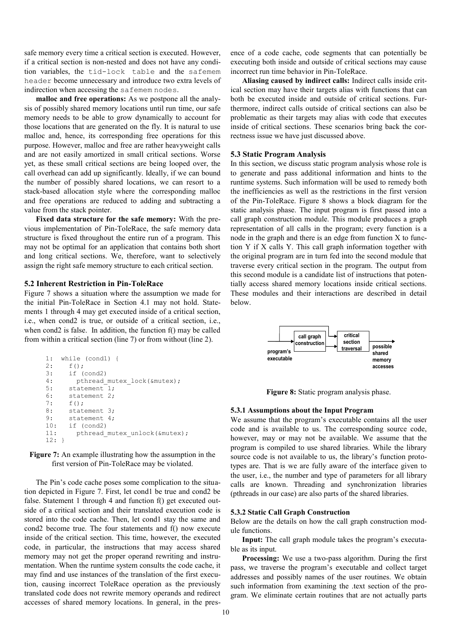safe memory every time a critical section is executed. However, if a critical section is non-nested and does not have any condition variables, the tid-lock table and the safemem header become unnecessary and introduce two extra levels of indirection when accessing the safemem nodes.

**malloc and free operations:** As we postpone all the analysis of possibly shared memory locations until run time, our safe memory needs to be able to grow dynamically to account for those locations that are generated on the fly. It is natural to use malloc and, hence, its corresponding free operations for this purpose. However, malloc and free are rather heavyweight calls and are not easily amortized in small critical sections. Worse yet, as these small critical sections are being looped over, the call overhead can add up significantly. Ideally, if we can bound the number of possibly shared locations, we can resort to a stack-based allocation style where the corresponding malloc and free operations are reduced to adding and subtracting a value from the stack pointer.

**Fixed data structure for the safe memory:** With the previous implementation of Pin-ToleRace, the safe memory data structure is fixed throughout the entire run of a program. This may not be optimal for an application that contains both short and long critical sections. We, therefore, want to selectively assign the right safe memory structure to each critical section.

#### **5.2 Inherent Restriction in Pin-ToleRace**

Figure 7 shows a situation where the assumption we made for the initial Pin-ToleRace in Section 4.1 may not hold. Statements 1 through 4 may get executed inside of a critical section, i.e., when cond2 is true, or outside of a critical section, i.e., when cond2 is false. In addition, the function f() may be called from within a critical section (line 7) or from without (line 2).

```
1: while (cond1) {
2: f();
3: if (cond2)
4: pthread mutex lock(&mutex);
5: statement 1;
6: statement 2;
7: f();
8: statement 3;
9: statement 4;
10: if (cond2)
11: pthread mutex unlock(&mutex);
12: }
```
## **Figure 7:** An example illustrating how the assumption in the first version of Pin-ToleRace may be violated.

The Pin's code cache poses some complication to the situation depicted in Figure 7. First, let cond1 be true and cond2 be false. Statement 1 through 4 and function f() get executed outside of a critical section and their translated execution code is stored into the code cache. Then, let cond1 stay the same and cond2 become true. The four statements and f() now execute inside of the critical section. This time, however, the executed code, in particular, the instructions that may access shared memory may not get the proper operand rewriting and instrumentation. When the runtime system consults the code cache, it may find and use instances of the translation of the first execution, causing incorrect ToleRace operation as the previously translated code does not rewrite memory operands and redirect accesses of shared memory locations. In general, in the pres-

ence of a code cache, code segments that can potentially be executing both inside and outside of critical sections may cause incorrect run time behavior in Pin-ToleRace.

**Aliasing caused by indirect calls:** Indirect calls inside critical section may have their targets alias with functions that can both be executed inside and outside of critical sections. Furthermore, indirect calls outside of critical sections can also be problematic as their targets may alias with code that executes inside of critical sections. These scenarios bring back the correctness issue we have just discussed above.

## **5.3 Static Program Analysis**

In this section, we discuss static program analysis whose role is to generate and pass additional information and hints to the runtime systems. Such information will be used to remedy both the inefficiencies as well as the restrictions in the first version of the Pin-ToleRace. Figure 8 shows a block diagram for the static analysis phase. The input program is first passed into a call graph construction module. This module produces a graph representation of all calls in the program; every function is a node in the graph and there is an edge from function X to function Y if X calls Y. This call graph information together with the original program are in turn fed into the second module that traverse every critical section in the program. The output from this second module is a candidate list of instructions that potentially access shared memory locations inside critical sections. These modules and their interactions are described in detail below.



**Figure 8:** Static program analysis phase.

## **5.3.1 Assumptions about the Input Program**

We assume that the program's executable contains all the user code and is available to us. The corresponding source code, however, may or may not be available. We assume that the program is compiled to use shared libraries. While the library source code is not available to us, the library's function prototypes are. That is we are fully aware of the interface given to the user, i.e., the number and type of parameters for all library calls are known. Threading and synchronization libraries (pthreads in our case) are also parts of the shared libraries.

#### **5.3.2 Static Call Graph Construction**

Below are the details on how the call graph construction module functions.

**Input:** The call graph module takes the program's executable as its input.

**Processing:** We use a two-pass algorithm. During the first pass, we traverse the program's executable and collect target addresses and possibly names of the user routines. We obtain such information from examining the .text section of the program. We eliminate certain routines that are not actually parts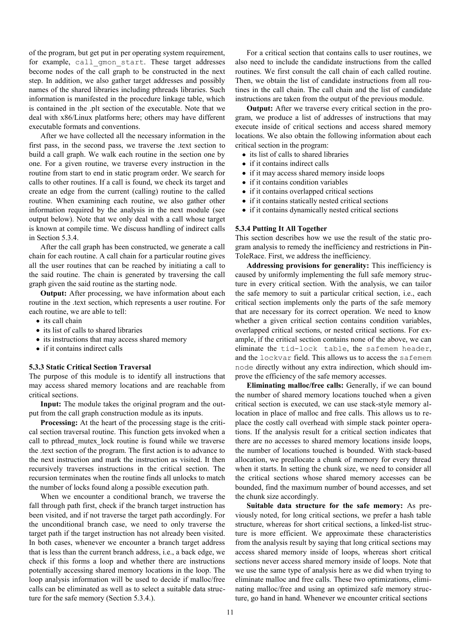of the program, but get put in per operating system requirement, for example, call\_gmon\_start. These target addresses become nodes of the call graph to be constructed in the next step. In addition, we also gather target addresses and possibly names of the shared libraries including pthreads libraries. Such information is manifested in the procedure linkage table, which is contained in the .plt section of the executable. Note that we deal with x86/Linux platforms here; others may have different executable formats and conventions.

After we have collected all the necessary information in the first pass, in the second pass, we traverse the .text section to build a call graph. We walk each routine in the section one by one. For a given routine, we traverse every instruction in the routine from start to end in static program order. We search for calls to other routines. If a call is found, we check its target and create an edge from the current (calling) routine to the called routine. When examining each routine, we also gather other information required by the analysis in the next module (see output below). Note that we only deal with a call whose target is known at compile time. We discuss handling of indirect calls in Section 5.3.4.

After the call graph has been constructed, we generate a call chain for each routine. A call chain for a particular routine gives all the user routines that can be reached by initiating a call to the said routine. The chain is generated by traversing the call graph given the said routine as the starting node.

**Output:** After processing, we have information about each routine in the .text section, which represents a user routine. For each routine, we are able to tell:

- its call chain
- its list of calls to shared libraries
- its instructions that may access shared memory
- if it contains indirect calls

## **5.3.3 Static Critical Section Traversal**

The purpose of this module is to identify all instructions that may access shared memory locations and are reachable from critical sections.

**Input:** The module takes the original program and the output from the call graph construction module as its inputs.

**Processing:** At the heart of the processing stage is the critical section traversal routine. This function gets invoked when a call to pthread\_mutex\_lock routine is found while we traverse the .text section of the program. The first action is to advance to the next instruction and mark the instruction as visited. It then recursively traverses instructions in the critical section. The recursion terminates when the routine finds all unlocks to match the number of locks found along a possible execution path.

When we encounter a conditional branch, we traverse the fall through path first, check if the branch target instruction has been visited, and if not traverse the target path accordingly. For the unconditional branch case, we need to only traverse the target path if the target instruction has not already been visited. In both cases, whenever we encounter a branch target address that is less than the current branch address, i.e., a back edge, we check if this forms a loop and whether there are instructions potentially accessing shared memory locations in the loop. The loop analysis information will be used to decide if malloc/free calls can be eliminated as well as to select a suitable data structure for the safe memory (Section 5.3.4.).

For a critical section that contains calls to user routines, we also need to include the candidate instructions from the called routines. We first consult the call chain of each called routine. Then, we obtain the list of candidate instructions from all routines in the call chain. The call chain and the list of candidate instructions are taken from the output of the previous module.

**Output:** After we traverse every critical section in the program, we produce a list of addresses of instructions that may execute inside of critical sections and access shared memory locations. We also obtain the following information about each critical section in the program:

- its list of calls to shared libraries
- if it contains indirect calls
- if it may access shared memory inside loops
- if it contains condition variables
- if it contains overlapped critical sections
- if it contains statically nested critical sections
- if it contains dynamically nested critical sections

#### **5.3.4 Putting It All Together**

This section describes how we use the result of the static program analysis to remedy the inefficiency and restrictions in Pin-ToleRace. First, we address the inefficiency.

**Addressing provisions for generality:** This inefficiency is caused by uniformly implementing the full safe memory structure in every critical section. With the analysis, we can tailor the safe memory to suit a particular critical section, i.e., each critical section implements only the parts of the safe memory that are necessary for its correct operation. We need to know whether a given critical section contains condition variables, overlapped critical sections, or nested critical sections. For example, if the critical section contains none of the above, we can eliminate the tid-lock table, the safemem header, and the lockvar field. This allows us to access the safemem node directly without any extra indirection, which should improve the efficiency of the safe memory accesses.

**Eliminating malloc/free calls:** Generally, if we can bound the number of shared memory locations touched when a given critical section is executed, we can use stack-style memory allocation in place of malloc and free calls. This allows us to replace the costly call overhead with simple stack pointer operations. If the analysis result for a critical section indicates that there are no accesses to shared memory locations inside loops, the number of locations touched is bounded. With stack-based allocation, we preallocate a chunk of memory for every thread when it starts. In setting the chunk size, we need to consider all the critical sections whose shared memory accesses can be bounded, find the maximum number of bound accesses, and set the chunk size accordingly.

**Suitable data structure for the safe memory:** As previously noted, for long critical sections, we prefer a hash table structure, whereas for short critical sections, a linked-list structure is more efficient. We approximate these characteristics from the analysis result by saying that long critical sections may access shared memory inside of loops, whereas short critical sections never access shared memory inside of loops. Note that we use the same type of analysis here as we did when trying to eliminate malloc and free calls. These two optimizations, eliminating malloc/free and using an optimized safe memory structure, go hand in hand. Whenever we encounter critical sections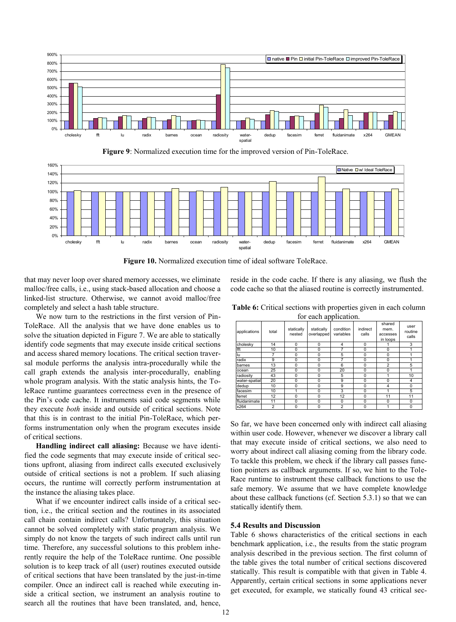





**Figure 10.** Normalized execution time of ideal software ToleRace.

that may never loop over shared memory accesses, we eliminate malloc/free calls, i.e., using stack-based allocation and choose a linked-list structure. Otherwise, we cannot avoid malloc/free completely and select a hash table structure.

160%

We now turn to the restrictions in the first version of Pin-ToleRace. All the analysis that we have done enables us to solve the situation depicted in Figure 7. We are able to statically identify code segments that may execute inside critical sections and access shared memory locations. The critical section traversal module performs the analysis intra-procedurally while the call graph extends the analysis inter-procedurally, enabling whole program analysis. With the static analysis hints, the ToleRace runtime guarantees correctness even in the presence of the Pin's code cache. It instruments said code segments while they execute *both* inside and outside of critical sections. Note that this is in contrast to the initial Pin-ToleRace, which performs instrumentation only when the program executes inside of critical sections.

**Handling indirect call aliasing:** Because we have identified the code segments that may execute inside of critical sections upfront, aliasing from indirect calls executed exclusively outside of critical sections is not a problem. If such aliasing occurs, the runtime will correctly perform instrumentation at the instance the aliasing takes place.

What if we encounter indirect calls inside of a critical section, i.e., the critical section and the routines in its associated call chain contain indirect calls? Unfortunately, this situation cannot be solved completely with static program analysis. We simply do not know the targets of such indirect calls until run time. Therefore, any successful solutions to this problem inherently require the help of the ToleRace runtime. One possible solution is to keep track of all (user) routines executed outside of critical sections that have been translated by the just-in-time compiler. Once an indirect call is reached while executing inside a critical section, we instrument an analysis routine to search all the routines that have been translated, and, hence,

reside in the code cache. If there is any aliasing, we flush the code cache so that the aliased routine is correctly instrumented.

**Table 6:** Critical sections with properties given in each column for each application

|               |                |                      |                          | — гг                   |                   |                                        |                          |
|---------------|----------------|----------------------|--------------------------|------------------------|-------------------|----------------------------------------|--------------------------|
| applications  | total          | statically<br>nested | statically<br>overlapped | condition<br>variables | indirect<br>calls | shared<br>mem.<br>accesses<br>in loops | user<br>routine<br>calls |
| cholesky      | 14             | 0                    | $\Omega$                 | 4                      | 0                 |                                        | 3                        |
| fft           | 10             | 0                    | $\Omega$                 | 7                      | 0                 | $\Omega$                               |                          |
| lu            | 7              | 0                    | $\Omega$                 | 5                      | 0                 | $\Omega$                               |                          |
| radix         | 9              | $\Omega$             | $\Omega$                 | 7                      | $\Omega$          | $\Omega$                               |                          |
| barnes        | 13             | 0                    | $\Omega$                 | 6                      | $\Omega$          | $\overline{2}$                         | 5                        |
| ocean         | 25             | 0                    | $\Omega$                 | 20                     | 0                 | $\Omega$                               |                          |
| radiosity     | 43             | 0                    | $\Omega$                 | 5                      | $\Omega$          |                                        | 10                       |
| water-spatial | 20             | $\Omega$             | $\Omega$                 | 9                      | $\Omega$          | $\Omega$                               | 4                        |
| dedup         | 10             | 0                    | 0                        | 9                      | 0                 | 4                                      | 0                        |
| facesim       | 10             |                      | $\Omega$                 | 3                      | 0                 |                                        | 5                        |
| ferret        | 12             | 0                    | $\Omega$                 | 12                     | 0                 | 11                                     | 11                       |
| fluidanimate  | 11             | $\Omega$             | $\Omega$                 | 0                      | $\Omega$          | $\Omega$                               | 0                        |
| x264          | $\overline{2}$ | $\Omega$             | $\Omega$                 | $\overline{2}$         | $\Omega$          |                                        | 0                        |

So far, we have been concerned only with indirect call aliasing within user code. However, whenever we discover a library call that may execute inside of critical sections, we also need to worry about indirect call aliasing coming from the library code. To tackle this problem, we check if the library call passes function pointers as callback arguments. If so, we hint to the Tole-Race runtime to instrument these callback functions to use the safe memory. We assume that we have complete knowledge about these callback functions (cf. Section 5.3.1) so that we can statically identify them.

# **5.4 Results and Discussion**

Table 6 shows characteristics of the critical sections in each benchmark application, i.e., the results from the static program analysis described in the previous section. The first column of the table gives the total number of critical sections discovered statically. This result is compatible with that given in Table 4. Apparently, certain critical sections in some applications never get executed, for example, we statically found 43 critical sec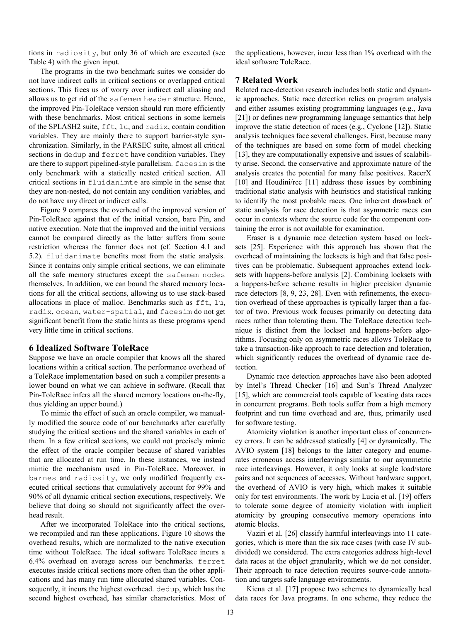tions in radiosity, but only 36 of which are executed (see Table 4) with the given input.

The programs in the two benchmark suites we consider do not have indirect calls in critical sections or overlapped critical sections. This frees us of worry over indirect call aliasing and allows us to get rid of the safemem header structure. Hence, the improved Pin-ToleRace version should run more efficiently with these benchmarks. Most critical sections in some kernels of the SPLASH2 suite, fft, lu, and radix, contain condition variables. They are mainly there to support barrier-style synchronization. Similarly, in the PARSEC suite, almost all critical sections in dedup and ferret have condition variables. They are there to support pipelined-style parallelism. facesim is the only benchmark with a statically nested critical section. All critical sections in fluidanimte are simple in the sense that they are non-nested, do not contain any condition variables, and do not have any direct or indirect calls.

Figure 9 compares the overhead of the improved version of Pin-ToleRace against that of the initial version, bare Pin, and native execution. Note that the improved and the initial versions cannot be compared directly as the latter suffers from some restriction whereas the former does not (cf. Section 4.1 and 5.2). fluidanimate benefits most from the static analysis. Since it contains only simple critical sections, we can eliminate all the safe memory structures except the safemem nodes themselves. In addition, we can bound the shared memory locations for all the critical sections, allowing us to use stack-based allocations in place of malloc. Benchmarks such as fft, lu, radix, ocean, water-spatial, and facesim do not get significant benefit from the static hints as these programs spend very little time in critical sections.

# **6 Idealized Software ToleRace**

Suppose we have an oracle compiler that knows all the shared locations within a critical section. The performance overhead of a ToleRace implementation based on such a compiler presents a lower bound on what we can achieve in software. (Recall that Pin-ToleRace infers all the shared memory locations on-the-fly, thus yielding an upper bound.)

To mimic the effect of such an oracle compiler, we manually modified the source code of our benchmarks after carefully studying the critical sections and the shared variables in each of them. In a few critical sections, we could not precisely mimic the effect of the oracle compiler because of shared variables that are allocated at run time. In these instances, we instead mimic the mechanism used in Pin-ToleRace. Moreover, in barnes and radiosity, we only modified frequently executed critical sections that cumulatively account for 99% and 90% of all dynamic critical section executions, respectively. We believe that doing so should not significantly affect the overhead result.

After we incorporated ToleRace into the critical sections, we recompiled and ran these applications. Figure 10 shows the overhead results, which are normalized to the native execution time without ToleRace. The ideal software ToleRace incurs a 6.4% overhead on average across our benchmarks. ferret executes inside critical sections more often than the other applications and has many run time allocated shared variables. Consequently, it incurs the highest overhead. dedup, which has the second highest overhead, has similar characteristics. Most of the applications, however, incur less than 1% overhead with the ideal software ToleRace.

# **7 Related Work**

Related race-detection research includes both static and dynamic approaches. Static race detection relies on program analysis and either assumes existing programming languages (e.g., Java [21]) or defines new programming language semantics that help improve the static detection of races (e.g., Cyclone [12]). Static analysis techniques face several challenges. First, because many of the techniques are based on some form of model checking [13], they are computationally expensive and issues of scalability arise. Second, the conservative and approximate nature of the analysis creates the potential for many false positives. RacerX [10] and Houdini/rcc [11] address these issues by combining traditional static analysis with heuristics and statistical ranking to identify the most probable races. One inherent drawback of static analysis for race detection is that asymmetric races can occur in contexts where the source code for the component containing the error is not available for examination.

Eraser is a dynamic race detection system based on locksets [25]. Experience with this approach has shown that the overhead of maintaining the locksets is high and that false positives can be problematic. Subsequent approaches extend locksets with happens-before analysis [2]. Combining locksets with a happens-before scheme results in higher precision dynamic race detectors [8, 9, 23, 28]. Even with refinements, the execution overhead of these approaches is typically larger than a factor of two. Previous work focuses primarily on detecting data races rather than tolerating them. The ToleRace detection technique is distinct from the lockset and happens-before algorithms. Focusing only on asymmetric races allows ToleRace to take a transaction-like approach to race detection and toleration, which significantly reduces the overhead of dynamic race detection.

Dynamic race detection approaches have also been adopted by Intel's Thread Checker [16] and Sun's Thread Analyzer [15], which are commercial tools capable of locating data races in concurrent programs. Both tools suffer from a high memory footprint and run time overhead and are, thus, primarily used for software testing.

Atomicity violation is another important class of concurrency errors. It can be addressed statically [4] or dynamically. The AVIO system [18] belongs to the latter category and enumerates erroneous access interleavings similar to our asymmetric race interleavings. However, it only looks at single load/store pairs and not sequences of accesses. Without hardware support, the overhead of AVIO is very high, which makes it suitable only for test environments. The work by Lucia et al. [19] offers to tolerate some degree of atomicity violation with implicit atomicity by grouping consecutive memory operations into atomic blocks.

Vaziri et al. [26] classify harmful interleavings into 11 categories, which is more than the six race cases (with case IV subdivided) we considered. The extra categories address high-level data races at the object granularity, which we do not consider. Their approach to race detection requires source-code annotation and targets safe language environments.

Kiena et al. [17] propose two schemes to dynamically heal data races for Java programs. In one scheme, they reduce the